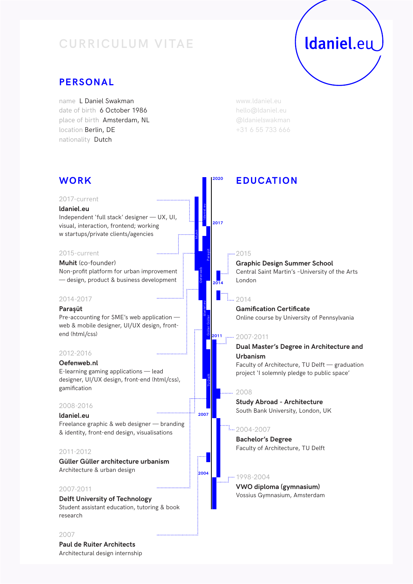# **CURRICULUM VITAE**

# Idaniel.eu

# **PERSONAL**

name L Daniel Swakman date of birth 6 October 1986 place of birth Amsterdam, NL location Berlin, DE nationality Dutch

www.ldaniel.eu hello@ldaniel.eu @ldanielswakman +31 6 55 733 666

| <b>WORK</b>                                                                                                                                                | 2020 | <b>EDUCATION</b>                                                                                                  |
|------------------------------------------------------------------------------------------------------------------------------------------------------------|------|-------------------------------------------------------------------------------------------------------------------|
| 2017-current<br>Idaniel.eu<br>Independent 'full stack' designer - UX, UI,<br>visual, interaction, frontend; working<br>w startups/private clients/agencies | 2017 |                                                                                                                   |
| 2015-current                                                                                                                                               |      | <del>. 11</del> 2015                                                                                              |
| Muhit (co-founder)<br>Non-profit platform for urban improvement<br>- design, product & business development                                                | 2014 | <b>Graphic Design Summer School</b><br>Central Saint Martin's -University of the Arts<br>London                   |
| 2014-2017                                                                                                                                                  |      | $\frac{1}{2014}$                                                                                                  |
| Paraşüt<br>Pre-accounting for SME's web application -<br>web & mobile designer, UI/UX design, front-<br>end (html/css)                                     | 2011 | <b>Gamification Certificate</b><br>Online course by University of Pennsylvania<br>$\cdots$ 2007-2011              |
| 2012-2016                                                                                                                                                  |      | Dual Master's Degree in Architecture and                                                                          |
| Oefenweb.nl<br>E-learning gaming applications - lead<br>designer, UI/UX design, front-end (html/css),<br>gamification                                      |      | Urbanism<br>Faculty of Architecture, TU Delft - graduation<br>project 'I solemnly pledge to public space'<br>2008 |
| 2008-2016                                                                                                                                                  |      | <b>Study Abroad - Architecture</b>                                                                                |
| 2007<br>Idaniel.eu                                                                                                                                         |      | South Bank University, London, UK                                                                                 |
| Freelance graphic & web designer - branding<br>& identity, front-end design, visualisations                                                                |      | $\frac{1}{2}$ 2004-2007<br><b>Bachelor's Degree</b>                                                               |
| 2011-2012                                                                                                                                                  |      | Faculty of Architecture, TU Delft                                                                                 |
| Güller Güller architecture urbanism<br>Architecture & urban design<br>2004                                                                                 |      |                                                                                                                   |
|                                                                                                                                                            |      | - 1998-2004<br>VWO diploma (gymnasium)                                                                            |
| 2007-2011<br><b>Delft University of Technology</b><br>Student assistant education, tutoring & book<br>research                                             |      | Vossius Gymnasium, Amsterdam                                                                                      |
| 2007                                                                                                                                                       |      |                                                                                                                   |
| <b>Paul de Ruiter Architects</b><br>Architectural design internship                                                                                        |      |                                                                                                                   |